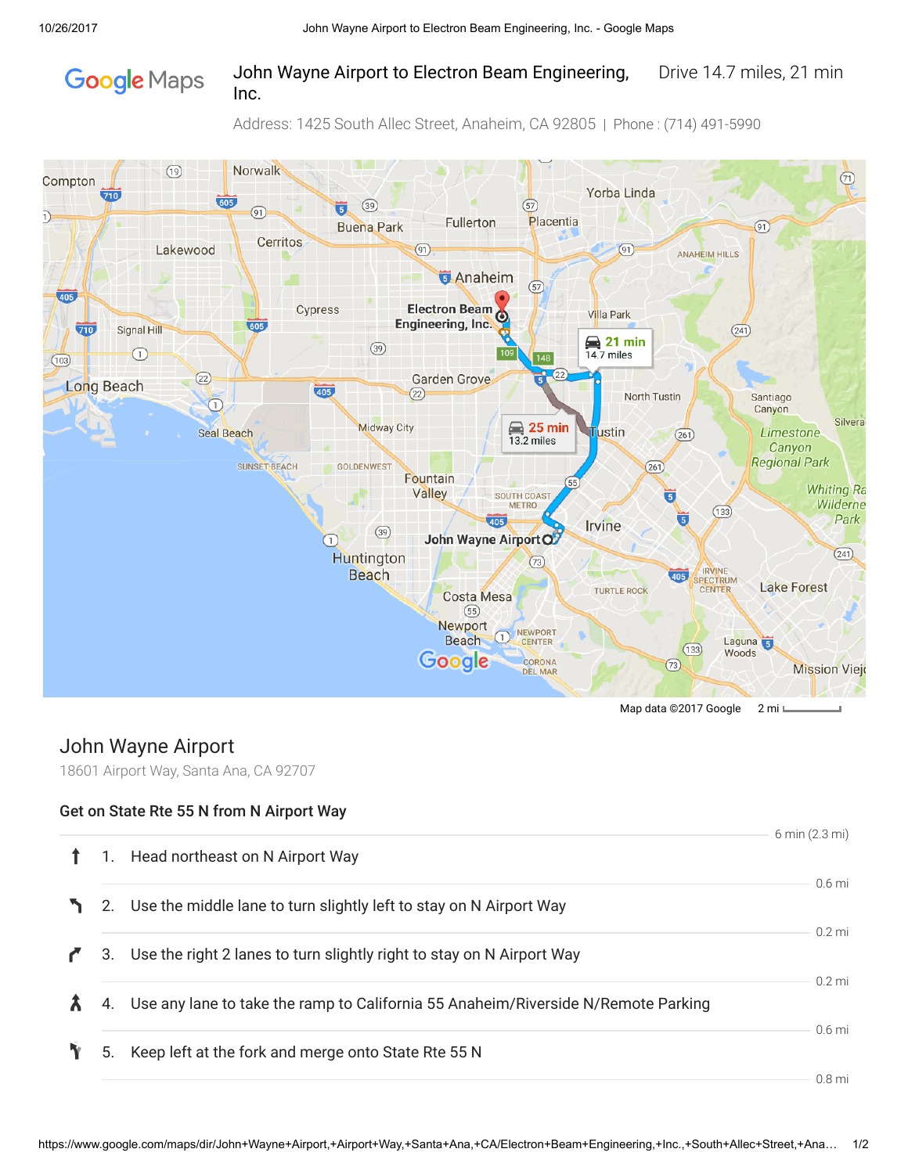

## John Wayne Airport to Electron Beam Engineering, Drive 14.7 miles, 21 min Inc.

Address: 1425 South Allec Street, Anaheim, CA 92805 | Phone : (714) 491-5990



Map data ©2017 Google 2 mi

# John Wayne Airport

18601 Airport Way, Santa Ana, CA 92707

### Get on State Rte 55 N from N Airport Way

|    |                                                                                   | 6 min (2.3 mi)   |
|----|-----------------------------------------------------------------------------------|------------------|
| 1. | Head northeast on N Airport Way                                                   |                  |
|    |                                                                                   | $0.6$ mi         |
|    | 2. Use the middle lane to turn slightly left to stay on N Airport Way             |                  |
|    |                                                                                   | $0.2 \text{ mi}$ |
| 3. | Use the right 2 lanes to turn slightly right to stay on N Airport Way             |                  |
|    |                                                                                   | $0.2 \text{ mi}$ |
| 4. | Use any lane to take the ramp to California 55 Anaheim/Riverside N/Remote Parking |                  |
|    |                                                                                   | $0.6$ mi         |
| 5. | Keep left at the fork and merge onto State Rte 55 N                               |                  |
|    |                                                                                   | $0.8$ mi         |